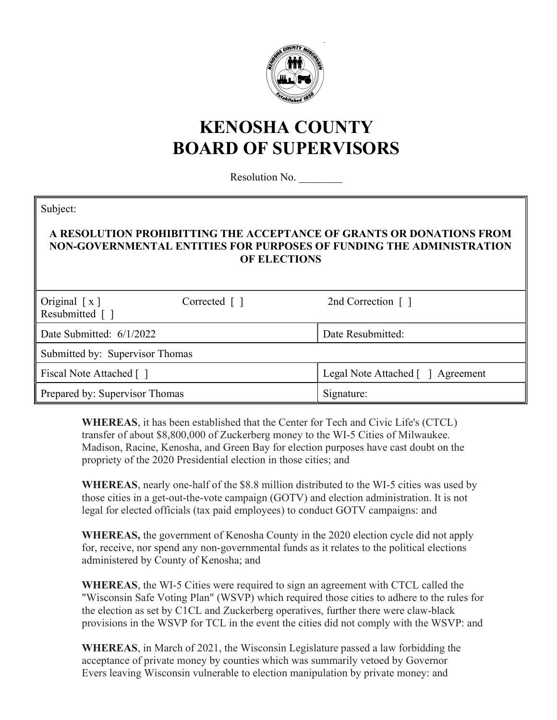

## KENOSHA COUNTY BOARD OF SUPERVISORS

Resolution No.

| Subject:<br>A RESOLUTION PROHIBITTING THE ACCEPTANCE OF GRANTS OR DONATIONS FROM<br>NON-GOVERNMENTAL ENTITIES FOR PURPOSES OF FUNDING THE ADMINISTRATION<br><b>OF ELECTIONS</b> |              |                                      |
|---------------------------------------------------------------------------------------------------------------------------------------------------------------------------------|--------------|--------------------------------------|
| Original $\lceil x \rceil$<br>Resubmitted [ ]                                                                                                                                   | Corrected [] | 2nd Correction $\lceil \cdot \rceil$ |
| Date Submitted: 6/1/2022                                                                                                                                                        |              | Date Resubmitted:                    |
| Submitted by: Supervisor Thomas                                                                                                                                                 |              |                                      |
| Fiscal Note Attached []                                                                                                                                                         |              | Legal Note Attached [ ] Agreement    |
| Prepared by: Supervisor Thomas                                                                                                                                                  |              | Signature:                           |

WHEREAS, it has been established that the Center for Tech and Civic Life's (CTCL) transfer of about \$8,800,000 of Zuckerberg money to the WI-5 Cities of Milwaukee. Madison, Racine, Kenosha, and Green Bay for election purposes have cast doubt on the propriety of the 2020 Presidential election in those cities; and

WHEREAS, nearly one-half of the \$8.8 million distributed to the WI-5 cities was used by those cities in a get-out-the-vote campaign (GOTV) and election administration. It is not legal for elected officials (tax paid employees) to conduct GOTV campaigns: and

WHEREAS, the government of Kenosha County in the 2020 election cycle did not apply for, receive, nor spend any non-governmental funds as it relates to the political elections administered by County of Kenosha; and

WHEREAS, the WI-5 Cities were required to sign an agreement with CTCL called the "Wisconsin Safe Voting Plan" (WSVP) which required those cities to adhere to the rules for the election as set by C1CL and Zuckerberg operatives, further there were claw-black provisions in the WSVP for TCL in the event the cities did not comply with the WSVP: and

WHEREAS, in March of 2021, the Wisconsin Legislature passed a law forbidding the acceptance of private money by counties which was summarily vetoed by Governor Evers leaving Wisconsin vulnerable to election manipulation by private money: and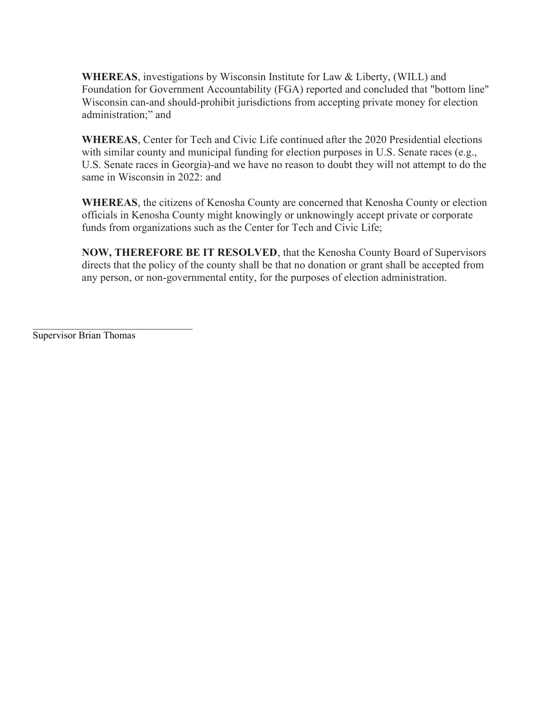WHEREAS, investigations by Wisconsin Institute for Law & Liberty, (WILL) and Foundation for Government Accountability (FGA) reported and concluded that "bottom line" Wisconsin can-and should-prohibit jurisdictions from accepting private money for election administration;" and

WHEREAS, Center for Tech and Civic Life continued after the 2020 Presidential elections with similar county and municipal funding for election purposes in U.S. Senate races (e.g., U.S. Senate races in Georgia)-and we have no reason to doubt they will not attempt to do the same in Wisconsin in 2022: and

WHEREAS, the citizens of Kenosha County are concerned that Kenosha County or election officials in Kenosha County might knowingly or unknowingly accept private or corporate funds from organizations such as the Center for Tech and Civic Life;

NOW, THEREFORE BE IT RESOLVED, that the Kenosha County Board of Supervisors directs that the policy of the county shall be that no donation or grant shall be accepted from any person, or non-governmental entity, for the purposes of election administration.

Supervisor Brian Thomas

 $\mathcal{L}_\text{max}$  , where  $\mathcal{L}_\text{max}$  and  $\mathcal{L}_\text{max}$